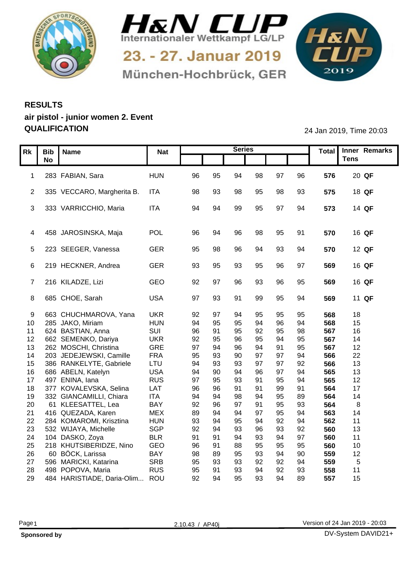



München-Hochbrück, GER

1&N 

## **RESULTS air pistol - junior women 2. Event QUALIFICATION** 24 Jan 2019, Time 20:03

|     | Rk   Bib   Name                                  | <b>Nat</b>        |          |           | <b>Series</b> |          |                |          |            | Total Inner Remarks |
|-----|--------------------------------------------------|-------------------|----------|-----------|---------------|----------|----------------|----------|------------|---------------------|
|     | <b>No</b>                                        |                   |          |           |               |          |                |          |            | <b>Tens</b>         |
|     |                                                  |                   |          |           |               |          |                |          |            |                     |
|     | 1 283 FABIAN, Sara                               | <b>HUN</b>        | 96       | 95        | 94            | 98       | 97             | 96       | 576        | 20 QF               |
|     | 2 335 VECCARO, Margherita B. ITA                 |                   | 98       | 93        | 98            | 95       | 98             | 93       | 575        | 18 QF               |
|     |                                                  |                   |          |           |               |          |                |          |            |                     |
|     | 3 333 VARRICCHIO, Maria                          | <b>ITA</b>        | 94       | -94       | 99            | 95       | 97             | 94       | 573        | 14 QF               |
|     |                                                  |                   |          |           |               |          |                |          |            |                     |
|     | 4 458 JAROSINSKA, Maja                           | POL               | -96      |           | 96            | 98       | 95             | -91      | 570        | 16 QF               |
|     |                                                  |                   |          |           |               |          |                |          |            |                     |
|     | 5 223 SEEGER, Vanessa                            | GER               | 95       | 98        | 96            |          |                | 94       | 570        | 12 QF               |
|     |                                                  |                   |          |           |               |          |                |          |            |                     |
|     | 6 219 HECKNER, Andrea                            | GER               | 93       | 95        | 93            | 95       | 96             | 97       | 569        | 16 QF               |
|     | 7 216 KILADZE, Lizi                              | GEO               | 92       | 97        | 96            | 93       | 96             | 95       | 569        | 16 QF               |
|     |                                                  |                   |          |           |               |          |                |          |            |                     |
|     | 8 685 CHOE, Sarah                                | <b>USA</b>        | 97       | 93        | 91            | 99       | 95             | 94       | 569        | 11 QF               |
|     |                                                  |                   |          |           |               |          |                |          |            |                     |
| - 9 | 663 CHUCHMAROVA, Yana                            | <b>UKR</b>        | 92       | - Q7      |               |          |                |          | 568        | 18                  |
|     | 10 285 JAKO, Miriam<br>624 BASTIAN, Anna         | <b>HUN</b>        | 94<br>96 | 95<br>-91 | 95            | 94<br>92 | 96<br>95       | 94<br>98 | 568<br>567 | 15<br>16            |
| 11  | 12 662 SEMENKO, Dariya                           | SUI<br><b>UKR</b> | 92       | 95        | 95<br>96      | 95       | 94             | 95       | 567        | 14                  |
|     | 13 262 MOSCHI, Christina                         | GRE               | 97       | 94        | 96            | 94       |                | 95       | 567        | 12 <sub>2</sub>     |
| 14  | 203 JEDEJEWSKI, Camille                          | <b>FRA</b>        | 95       | 93        | 90            | 97       | <b>Q7</b>      | 94       | 566        | 22                  |
|     | 15 386 RANKELYTE, Gabriele                       | LTU               | 94       | 93        | 93            | 97       | Q <sub>7</sub> | 92       | 566        | 13                  |
|     | 16 686 ABELN, Katelyn                            | <b>USA</b>        | 94       | 90        | 94            | 96       | <sup>Q7</sup>  | 94       | 565        | 13                  |
| 18  | 17 497 ENINA, lana<br>377 KOVALEVSKA, Selina     | <b>RUS</b><br>LAT | 97<br>96 | 95<br>96  | 93            | 91       | 95<br>99       | 94<br>91 | 565<br>564 | 12<br>17            |
|     | 19 332 GIANCAMILLI, Chiara                       | <b>ITA</b>        | 94       | -94       | 98            |          | 95             | 89       | 564        | 14                  |
| 20  | 61 KLEESATTEL, Lea                               | BAY               | 92       | 96        | 97            |          | 95             | 93       | 564        | - 8                 |
|     | 21 416 QUEZADA, Karen                            | <b>MEX</b>        | 89       |           | 94            | 97       | 95             | 94       | 563        | 14                  |
|     | 22 284 KOMAROMI, Krisztina                       | <b>HUN</b>        | 93       | -94       | 95            | 94       | 92             | 94       | 562        | 11                  |
| 23  | 532 WIJAYA, Michelle                             | SGP               | 92       | -94       | 93            | 96       | 93             | 92       | 560        | 13                  |
|     | 24 104 DASKO, Zoya<br>25 218 KHUTSIBERIDZE, Nino | <b>BLR</b><br>GEO | 91<br>96 | 91<br>-91 | 94<br>88      | 93<br>95 | 94<br>95       | 97<br>95 | 560<br>560 | 11<br>10            |
| 26  | 60 BÖCK, Larissa                                 | BAY               | 98       | 89        | 95            | 93       | 94             | 90       | 559        | 12                  |
|     | 27 596 MARICKI, Katarina                         | <b>SRB</b>        | 95       | 93        | 93            | 92       | 92             | 94       | 559        | 5                   |
| 28  | 498 POPOVA, Maria                                | <b>RUS</b>        | 95       | -91       | 93            | 94       | 92             | 93       | 558        | 11                  |
|     | 29 484 HARISTIADE, Daria-Olim                    | ROU               | 92       | 94        | 95            | 93       | 94             | 89       | 557        | 15                  |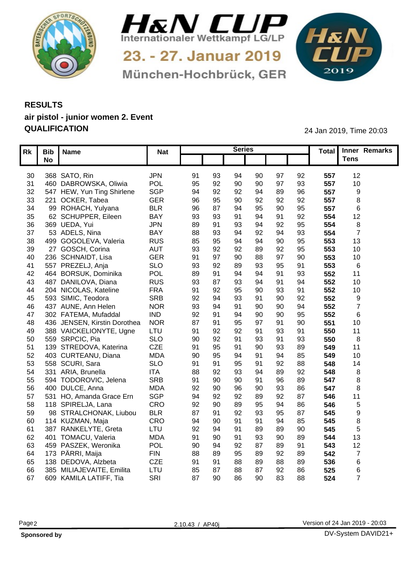



München-Hochbrück, GER

1&N 

## **RESULTS air pistol - junior women 2. Event QUALIFICATION** 24 Jan 2019, Time 20:03

|     | Rk   Bib   Name              | <b>Nat</b> |    |      | <b>Series</b>        |                      |    |     | Total Inner Remarks |  |
|-----|------------------------------|------------|----|------|----------------------|----------------------|----|-----|---------------------|--|
|     | <b>No</b>                    |            |    |      |                      |                      |    |     | <b>Tens</b>         |  |
|     |                              |            |    |      |                      |                      |    |     |                     |  |
|     | 30 368 SATO, Rin             | JPN        | 91 | 93   | 94                   | 97<br>90             | 92 | 557 | 12                  |  |
| 31  | 460 DABROWSKA, Oliwia        | POL        | 95 | 92   | 90<br>90             | Q <sub>7</sub>       | 93 | 557 | 10 <sup>1</sup>     |  |
| 32  | 547 HEW, Yun Ting Shirlene   | SGP        | 94 | 92   | 92<br>94             | 89                   | 96 | 557 |                     |  |
| 33  | 221 OCKER, Tabea             | <b>GER</b> | 96 | 95   | 90                   | 92<br>92             | 92 | 557 |                     |  |
| 34  | 99 ROHACH, Yulyana           | <b>BLR</b> | 96 | 87   | 95<br>94             | 90                   | 95 | 557 |                     |  |
| 35  | 62 SCHUPPER, Eileen          | <b>BAY</b> | 93 | 93   | 91<br>94             | Q <sub>1</sub>       | 92 | 554 | 12                  |  |
| 36  | 369 UEDA, Yui                | <b>JPN</b> | 89 |      | 93<br>94             | 92                   | 95 | 554 |                     |  |
| 37  | 53 ADELS, Nina               | <b>BAY</b> | 88 | -93  |                      | 92                   | 93 | 554 |                     |  |
| 38  | 499 GOGOLEVA, Valeria        | <b>RUS</b> | 85 | 95   |                      | 94<br>9C             | 95 | 553 | 13                  |  |
| 39  | 27 GOSCH, Corina             | <b>AUT</b> | 93 | 92   | 92                   | 92                   | 95 | 553 | 10                  |  |
| 40  | 236 SCHNAIDT, Lisa           | <b>GER</b> | 91 | .97  | 90                   | 88<br>97             | 90 | 553 | 10 <sup>1</sup>     |  |
| -41 | 557 PREZELJ, Anja            | <b>SLO</b> | 93 | 92   | 89                   | 93<br>95             | 91 | 553 | - 6                 |  |
| 42  | 464 BORSUK, Dominika         | <b>POL</b> | 89 | - Q1 | ۹۷                   | ۵۰                   | 93 | 552 | 11                  |  |
| 43  | 487 DANILOVA, Diana          | <b>RUS</b> | 93 | -87  | 93<br>94             | ٩                    | 94 | 552 | 10 <sup>1</sup>     |  |
| 44  | 204 NICOLAS, Kateline        | <b>FRA</b> | 91 | 92   | 95<br>90             | 93                   | 91 | 552 | 10 <sup>°</sup>     |  |
|     | 45 593 SIMIC, Teodora        | <b>SRB</b> | 92 | .94  | 91<br>93             | 90                   | 92 | 552 | - Q                 |  |
| 46  | 437 AUNE, Ann Helen          | <b>NOR</b> | 93 | -94  | 91                   | 90<br>90             | 94 | 552 |                     |  |
| 47  | 302 FATEMA, Mufaddal         | <b>IND</b> | 92 | -91  | 90<br>94             | 90                   | 95 | 552 |                     |  |
| 48  | 436 JENSEN, Kirstin Dorothea | <b>NOR</b> | 87 | -91  | 95<br>97             | ٩                    | 90 | 551 | 10 <sup>°</sup>     |  |
| 49  | 388 VAICKELIONYTE, Ugne      | LTU        | 91 | 92   | 92                   | 93                   | 91 | 550 | 11                  |  |
|     | 50 559 SRPCIC, Pia           | <b>SLO</b> | 90 | 92   | 91                   | 93<br>91             | 93 | 550 | -8                  |  |
| 51  | 139 STREDOVA, Katerina       | CZE        | 91 | 95   |                      | 90<br>93             | 89 | 549 | 11                  |  |
|     | 52 403 CURTEANU, Diana       | <b>MDA</b> | 90 | 95   | Q <sub>1</sub><br>94 |                      | 85 | 549 | 10 <sup>1</sup>     |  |
|     | 53 558 SCURI, Sara           | <b>SLO</b> | 91 | -91  | 95                   | 92                   | 88 | 548 | 14                  |  |
|     | 54 331 ARIA, Brunella        | <b>ITA</b> | 88 | 92   | 93                   | 94<br>89             | 92 | 548 | -8                  |  |
|     | 55 594 TODOROVIC, Jelena     | <b>SRB</b> | 91 | 90   | 91<br>90             | 96                   | 89 | 547 |                     |  |
| 56  | 400 DULCE, Anna              | <b>MDA</b> | 92 | 90   | ٩ſ<br>96             | 93                   | 86 | 547 |                     |  |
|     | 57 531 HO, Amanda Grace Ern  | <b>SGP</b> | 94 | 92   | 92                   | Q <sub>2</sub><br>89 | 87 | 546 | 11                  |  |
|     | 58 118 SPIRELJA, Lana        | CRO        | 92 | 90   | 89                   | 95<br>$Q_4$          | 86 | 546 | - 5                 |  |
| 59  | 98 STRALCHONAK, Liubou       | <b>BLR</b> | 87 | - Q1 | 92                   | 93<br>95             | 87 | 545 | <b>Q</b>            |  |
| 60  | 114 KUZMAN, Maja             | CRO        | 94 | 90   | 91<br>91             | 94                   | 85 | 545 | -8                  |  |
| 61  | 387 RANKELYTE, Greta         | LTU        | 92 |      | 89                   | 89                   | 90 | 545 |                     |  |
|     | 62 401 TOMACU, Valeria       | <b>MDA</b> | 91 | 90   |                      | 93<br>90             | 89 | 544 | 13                  |  |
|     | 63 459 PASZEK, Weronika      | POL        | 90 | -94  | 92                   | 89                   | 91 | 543 | 12                  |  |
|     | 64 173 PÄRRI, Maija          | <b>FIN</b> | 88 | 89   | 95<br>89             | 92                   | 89 | 542 |                     |  |
| 65  | 138 DEDOVA, Alzbeta          | <b>CZE</b> | 91 | -91  | 89<br>88             | 88                   | 89 | 536 |                     |  |
| 66  | 385 MILIAJEVAITE, Emilita    | LTU        | 85 |      | 88                   | 92                   | 86 | 525 |                     |  |
|     | 67 609 KAMILA LATIFF, Tia    | SRI        | 87 | 90   | 86                   | 90<br>83             | 88 | 524 |                     |  |